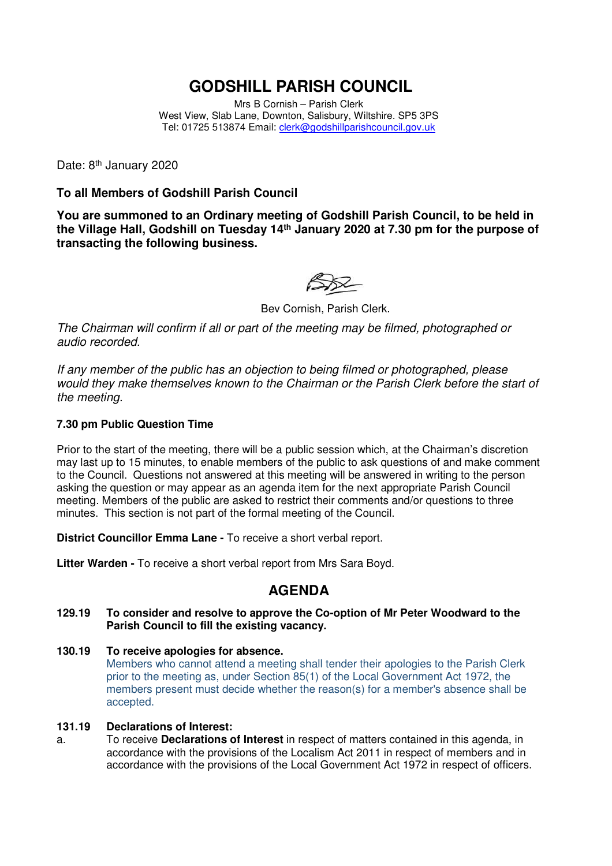# **GODSHILL PARISH COUNCIL**

Mrs B Cornish – Parish Clerk West View, Slab Lane, Downton, Salisbury, Wiltshire. SP5 3PS Tel: 01725 513874 Email: clerk@godshillparishcouncil.gov.uk

Date: 8<sup>th</sup> January 2020

### **To all Members of Godshill Parish Council**

**You are summoned to an Ordinary meeting of Godshill Parish Council, to be held in the Village Hall, Godshill on Tuesday 14th January 2020 at 7.30 pm for the purpose of transacting the following business.** 

Bev Cornish, Parish Clerk.

The Chairman will confirm if all or part of the meeting may be filmed, photographed or audio recorded.

If any member of the public has an objection to being filmed or photographed, please would they make themselves known to the Chairman or the Parish Clerk before the start of the meeting.

#### **7.30 pm Public Question Time**

Prior to the start of the meeting, there will be a public session which, at the Chairman's discretion may last up to 15 minutes, to enable members of the public to ask questions of and make comment to the Council. Questions not answered at this meeting will be answered in writing to the person asking the question or may appear as an agenda item for the next appropriate Parish Council meeting. Members of the public are asked to restrict their comments and/or questions to three minutes. This section is not part of the formal meeting of the Council.

**District Councillor Emma Lane -** To receive a short verbal report.

**Litter Warden -** To receive a short verbal report from Mrs Sara Boyd.

## **AGENDA**

- **129.19 To consider and resolve to approve the Co-option of Mr Peter Woodward to the Parish Council to fill the existing vacancy.**
- **130.19 To receive apologies for absence.**  Members who cannot attend a meeting shall tender their apologies to the Parish Clerk prior to the meeting as, under Section 85(1) of the Local Government Act 1972, the members present must decide whether the reason(s) for a member's absence shall be accepted.

#### **131.19 Declarations of Interest:**

a. To receive **Declarations of Interest** in respect of matters contained in this agenda, in accordance with the provisions of the Localism Act 2011 in respect of members and in accordance with the provisions of the Local Government Act 1972 in respect of officers.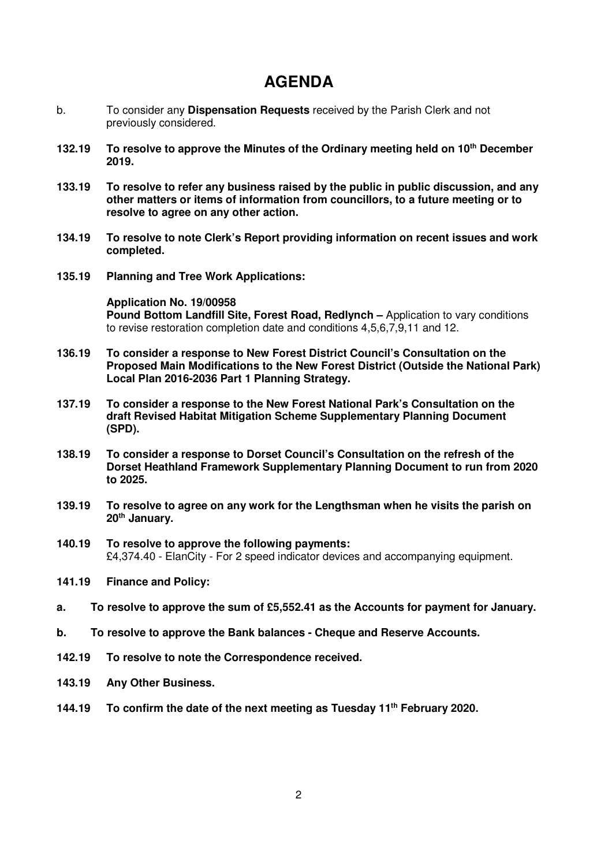# **AGENDA**

- b. To consider any **Dispensation Requests** received by the Parish Clerk and not previously considered.
- **132.19 To resolve to approve the Minutes of the Ordinary meeting held on 10th December 2019.**
- **133.19 To resolve to refer any business raised by the public in public discussion, and any other matters or items of information from councillors, to a future meeting or to resolve to agree on any other action.**
- **134.19 To resolve to note Clerk's Report providing information on recent issues and work completed.**
- **135.19 Planning and Tree Work Applications:**

**Application No. 19/00958 Pound Bottom Landfill Site, Forest Road, Redlynch –** Application to vary conditions to revise restoration completion date and conditions 4,5,6,7,9,11 and 12.

- **136.19 To consider a response to New Forest District Council's Consultation on the Proposed Main Modifications to the New Forest District (Outside the National Park) Local Plan 2016-2036 Part 1 Planning Strategy.**
- **137.19 To consider a response to the New Forest National Park's Consultation on the draft Revised Habitat Mitigation Scheme Supplementary Planning Document (SPD).**
- **138.19 To consider a response to Dorset Council's Consultation on the refresh of the Dorset Heathland Framework Supplementary Planning Document to run from 2020 to 2025.**
- **139.19 To resolve to agree on any work for the Lengthsman when he visits the parish on 20th January.**
- **140.19 To resolve to approve the following payments:**  £4,374.40 - ElanCity - For 2 speed indicator devices and accompanying equipment.
- **141.19 Finance and Policy:**
- **a. To resolve to approve the sum of £5,552.41 as the Accounts for payment for January.**
- **b. To resolve to approve the Bank balances Cheque and Reserve Accounts.**
- **142.19 To resolve to note the Correspondence received.**
- **143.19 Any Other Business.**
- **144.19 To confirm the date of the next meeting as Tuesday 11th February 2020.**